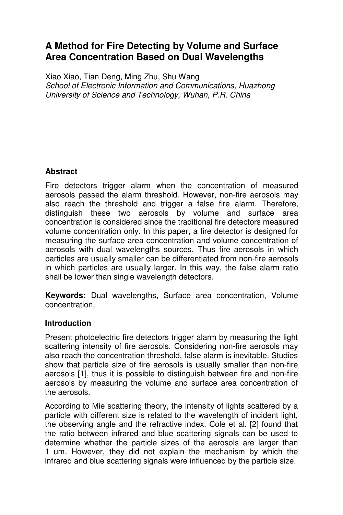# **A Method for Fire Detecting by Volume and Surface Area Concentration Based on Dual Wavelengths**

Xiao Xiao, Tian Deng, Ming Zhu, Shu Wang *School of Electronic Information and Communications, Huazhong University of Science and Technology, Wuhan, P.R. China* 

## **Abstract**

Fire detectors trigger alarm when the concentration of measured aerosols passed the alarm threshold. However, non-fire aerosols may also reach the threshold and trigger a false fire alarm. Therefore, distinguish these two aerosols by volume and surface area concentration is considered since the traditional fire detectors measured volume concentration only. In this paper, a fire detector is designed for measuring the surface area concentration and volume concentration of aerosols with dual wavelengths sources. Thus fire aerosols in which particles are usually smaller can be differentiated from non-fire aerosols in which particles are usually larger. In this way, the false alarm ratio shall be lower than single wavelength detectors.

**Keywords:** Dual wavelengths, Surface area concentration, Volume concentration,

### **Introduction**

Present photoelectric fire detectors trigger alarm by measuring the light scattering intensity of fire aerosols. Considering non-fire aerosols may also reach the concentration threshold, false alarm is inevitable. Studies show that particle size of fire aerosols is usually smaller than non-fire aerosols [1], thus it is possible to distinguish between fire and non-fire aerosols by measuring the volume and surface area concentration of the aerosols.

According to Mie scattering theory, the intensity of lights scattered by a particle with different size is related to the wavelength of incident light, the observing angle and the refractive index. Cole et al. [2] found that the ratio between infrared and blue scattering signals can be used to determine whether the particle sizes of the aerosols are larger than 1 um. However, they did not explain the mechanism by which the infrared and blue scattering signals were influenced by the particle size.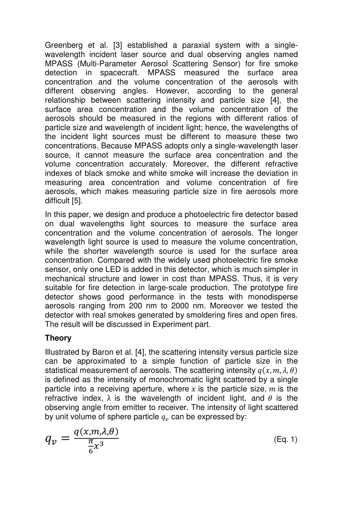Greenberg et al. [3] established a paraxial system with a singlewavelength incident laser source and dual observing angles named MPASS (Multi-Parameter Aerosol Scattering Sensor) for fire smoke detection in spacecraft. MPASS measured the surface area concentration and the volume concentration of the aerosols with different observing angles. However, according to the general relationship between scattering intensity and particle size [4], the surface area concentration and the volume concentration of the aerosols should be measured in the regions with different ratios of particle size and wavelength of incident light; hence, the wavelengths of the incident light sources must be different to measure these two concentrations. Because MPASS adopts only a single-wavelength laser source, it cannot measure the surface area concentration and the volume concentration accurately. Moreover, the different refractive indexes of black smoke and white smoke will increase the deviation in measuring area concentration and volume concentration of fire aerosols, which makes measuring particle size in fire aerosols more difficult [5].

In this paper, we design and produce a photoelectric fire detector based on dual wavelengths light sources to measure the surface area concentration and the volume concentration of aerosols. The longer wavelength light source is used to measure the volume concentration, while the shorter wavelength source is used for the surface area concentration. Compared with the widely used photoelectric fire smoke sensor, only one LED is added in this detector, which is much simpler in mechanical structure and lower in cost than MPASS. Thus, it is very suitable for fire detection in large-scale production. The prototype fire detector shows good performance in the tests with monodisperse aerosols ranging from 200 nm to 2000 nm. Moreover we tested the detector with real smokes generated by smoldering fires and open fires. The result will be discussed in Experiment part.

# **Theory**

Illustrated by Baron et al. [4], the scattering intensity versus particle size can be approximated to a simple function of particle size in the statistical measurement of aerosols. The scattering intensity  $q(x,m,\lambda,\theta)$ is defined as the intensity of monochromatic light scattered by a single particle into a receiving aperture, where x is the particle size,  $m$  is the refractive index,  $\lambda$  is the wavelength of incident light, and  $\theta$  is the observing angle from emitter to receiver. The intensity of light scattered by unit volume of sphere particle  $q_v$  can be expressed by:

$$
q_v = \frac{q(x, m, \lambda, \theta)}{\frac{\pi}{6}x^3}
$$
 (Eq. 1)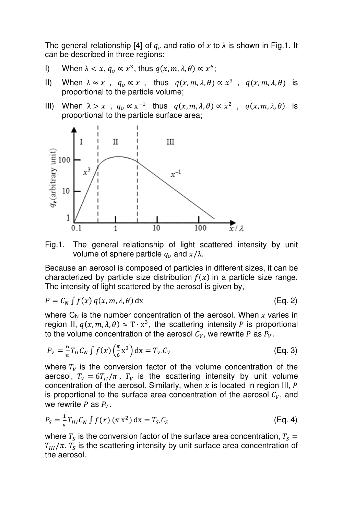The general relationship [4] of  $q_v$  and ratio of  $x$  to  $\lambda$  is shown in Fig.1. It can be described in three regions:

- I) When  $\lambda < x$ ,  $q_v \propto x^3$ , thus  $q(x, m, \lambda, \theta) \propto x^6$ ;
- II) When  $\lambda \approx x$ ,  $q_v \propto x$ , thus  $q(x, m, \lambda, \theta) \propto x^3$ ,  $q(x, m, \lambda, \theta)$  is proportional to the particle volume;
- III) When  $\lambda > x$ ,  $q_v \propto x^{-1}$  thus  $q(x, m, \lambda, \theta) \propto x^2$ ,  $q(x, m, \lambda, \theta)$  is proportional to the particle surface area;





Because an aerosol is composed of particles in different sizes, it can be characterized by particle size distribution  $f(x)$  in a particle size range. The intensity of light scattered by the aerosol is given by,

$$
P = C_N \int f(x) \, q(x, m, \lambda, \theta) \, dx \tag{Eq. 2}
$$

where  $C_N$  is the number concentration of the aerosol. When  $x$  varies in region II,  $q(x, m, \lambda, \theta) \approx T \cdot x^3$ , the scattering intensity P is proportional to the volume concentration of the aerosol  $C_V$ , we rewrite P as  $P_V$ .

$$
P_V = \frac{6}{\pi} T_{II} C_N \int f(x) \left(\frac{\pi}{6} x^3\right) dx = T_V C_V \tag{Eq. 3}
$$

where  $T_V$  is the conversion factor of the volume concentration of the aerosol,  $T_V = 6T_H/\pi$ .  $T_V$  is the scattering intensity by unit volume concentration of the aerosol. Similarly, when  $x$  is located in region III,  $P$ is proportional to the surface area concentration of the aerosol  $C_V$ , and we rewrite P as  $P_V$ .

$$
P_S = \frac{1}{\pi} T_{III} C_N \int f(x) \, (\pi \, x^2) \, dx = T_S C_S \tag{Eq. 4}
$$

where  $T_S$  is the conversion factor of the surface area concentration,  $T_S = \frac{1}{2}$  $T_{III}/\pi$ .  $T_S$  is the scattering intensity by unit surface area concentration of the aerosol.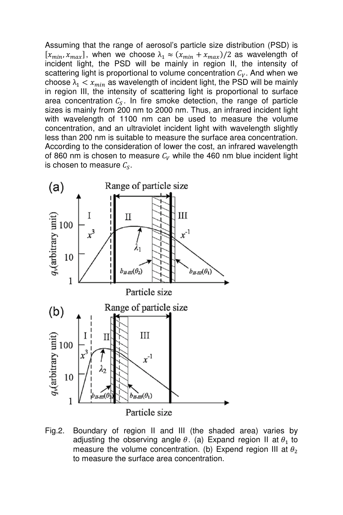Assuming that the range of aerosol's particle size distribution (PSD) is  $[x_{min}, x_{max}]$ , when we choose  $\lambda_1 \approx (x_{min} + x_{max})/2$  as wavelength of incident light, the PSD will be mainly in region II, the intensity of scattering light is proportional to volume concentration  $C_V$ . And when we choose  $\lambda_1 < x_{min}$  as wavelength of incident light, the PSD will be mainly in region III, the intensity of scattering light is proportional to surface area concentration  $c_s$ . In fire smoke detection, the range of particle sizes is mainly from 200 nm to 2000 nm. Thus, an infrared incident light with wavelength of 1100 nm can be used to measure the volume concentration, and an ultraviolet incident light with wavelength slightly less than 200 nm is suitable to measure the surface area concentration. According to the consideration of lower the cost, an infrared wavelength of 860 nm is chosen to measure  $C_V$  while the 460 nm blue incident light is chosen to measure  $\mathcal{C}_{\mathcal{S}}.$ 



Fig.2. Boundary of region II and III (the shaded area) varies by adjusting the observing angle  $\theta$ . (a) Expand region II at  $\theta_1$  to measure the volume concentration. (b) Expend region III at  $\theta_2$ to measure the surface area concentration.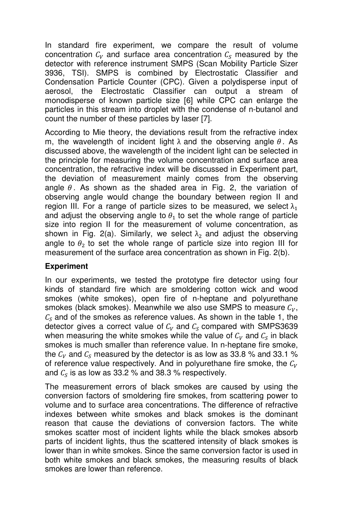In standard fire experiment, we compare the result of volume concentration  $C_V$  and surface area concentration  $C_S$  measured by the detector with reference instrument SMPS (Scan Mobility Particle Sizer 3936, TSI). SMPS is combined by Electrostatic Classifier and Condensation Particle Counter (CPC). Given a polydisperse input of aerosol, the Electrostatic Classifier can output a stream of monodisperse of known particle size [6] while CPC can enlarge the particles in this stream into droplet with the condense of n-butanol and count the number of these particles by laser [7].

According to Mie theory, the deviations result from the refractive index m, the wavelength of incident light  $\lambda$  and the observing angle  $\theta$ . As discussed above, the wavelength of the incident light can be selected in the principle for measuring the volume concentration and surface area concentration, the refractive index will be discussed in Experiment part, the deviation of measurement mainly comes from the observing angle  $\theta$ . As shown as the shaded area in Fig. 2, the variation of observing angle would change the boundary between region II and region III. For a range of particle sizes to be measured, we select  $\lambda_1$ and adjust the observing angle to  $\theta_1$  to set the whole range of particle size into region II for the measurement of volume concentration, as shown in Fig. 2(a). Similarly, we select  $\lambda_2$  and adjust the observing angle to  $\theta_2$  to set the whole range of particle size into region III for measurement of the surface area concentration as shown in Fig. 2(b).

### **Experiment**

In our experiments, we tested the prototype fire detector using four kinds of standard fire which are smoldering cotton wick and wood smokes (white smokes), open fire of n-heptane and polyurethane smokes (black smokes). Meanwhile we also use SMPS to measure  $C_V$ ,  $\mathcal{C}_\mathcal{S}$  and of the smokes as reference values. As shown in the table 1, the detector gives a correct value of  $\mathcal{C}_V$  and  $\mathcal{C}_S$  compared with SMPS3639 when measuring the white smokes while the value of  $\mathcal{C}_V$  and  $\mathcal{C}_S$  in black smokes is much smaller than reference value. In n-heptane fire smoke, the  $\mathcal{C}_V$  and  $\mathcal{C}_S$  measured by the detector is as low as 33.8 % and 33.1 % of reference value respectively. And in polyurethane fire smoke, the  $C_V$ and  $\mathcal{C}_{\mathcal{S}}$  is as low as 33.2 % and 38.3 % respectively.

The measurement errors of black smokes are caused by using the conversion factors of smoldering fire smokes, from scattering power to volume and to surface area concentrations. The difference of refractive indexes between white smokes and black smokes is the dominant reason that cause the deviations of conversion factors. The white smokes scatter most of incident lights while the black smokes absorb parts of incident lights, thus the scattered intensity of black smokes is lower than in white smokes. Since the same conversion factor is used in both white smokes and black smokes, the measuring results of black smokes are lower than reference.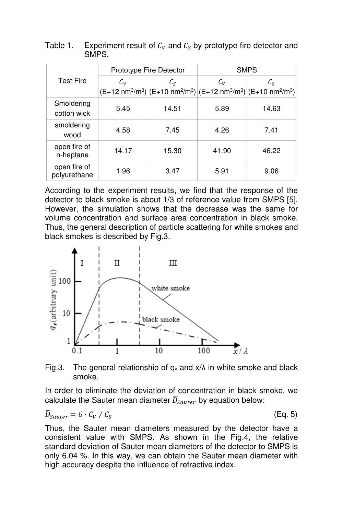|                              | Prototype Fire Detector |                                                                                                                                     | <b>SMPS</b> |             |
|------------------------------|-------------------------|-------------------------------------------------------------------------------------------------------------------------------------|-------------|-------------|
| <b>Test Fire</b>             | $C_V$                   | $C_{\rm S}$                                                                                                                         | $C_V$       | $C_{\rm S}$ |
|                              |                         | $(E+12 \text{ nm}^3/\text{m}^3)$ $(E+10 \text{ nm}^2/\text{m}^3)$ $(E+12 \text{ nm}^3/\text{m}^3)$ $(E+10 \text{ nm}^2/\text{m}^3)$ |             |             |
| Smoldering<br>cotton wick    | 5.45                    | 14.51                                                                                                                               | 5.89        | 14.63       |
| smoldering<br>wood           | 4.58                    | 7.45                                                                                                                                | 4.26        | 7.41        |
| open fire of<br>n-heptane    | 14.17                   | 15.30                                                                                                                               | 41.90       | 46.22       |
| open fire of<br>polyurethane | 1.96                    | 3.47                                                                                                                                | 5.91        | 9.06        |

Table 1. Experiment result of  $C_V$  and  $C_S$  by prototype fire detector and SMPS.

According to the experiment results, we find that the response of the detector to black smoke is about 1/3 of reference value from SMPS [5]. However, the simulation shows that the decrease was the same for volume concentration and surface area concentration in black smoke. Thus, the general description of particle scattering for white smokes and black smokes is described by Fig.3.



Fig.3. The general relationship of  $q_v$  and  $x/\lambda$  in white smoke and black smoke.

In order to eliminate the deviation of concentration in black smoke, we calculate the Sauter mean diameter  $\overline{D}_{Sauter}$  by equation below:

$$
\overline{D}_{Sauter} = 6 \cdot C_V / C_S
$$

(Eq. 5)

Thus, the Sauter mean diameters measured by the detector have a consistent value with SMPS. As shown in the Fig.4, the relative standard deviation of Sauter mean diameters of the detector to SMPS is only 6.04 %. In this way, we can obtain the Sauter mean diameter with high accuracy despite the influence of refractive index.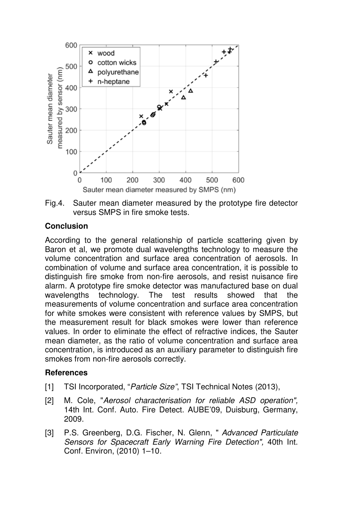



#### **Conclusion**

According to the general relationship of particle scattering given by Baron et al, we promote dual wavelengths technology to measure the volume concentration and surface area concentration of aerosols. In combination of volume and surface area concentration, it is possible to distinguish fire smoke from non-fire aerosols, and resist nuisance fire alarm. A prototype fire smoke detector was manufactured base on dual wavelengths technology. The test results showed that the measurements of volume concentration and surface area concentration for white smokes were consistent with reference values by SMPS, but the measurement result for black smokes were lower than reference values. In order to eliminate the effect of refractive indices, the Sauter mean diameter, as the ratio of volume concentration and surface area concentration, is introduced as an auxiliary parameter to distinguish fire smokes from non-fire aerosols correctly.

#### **References**

- [1] TSI Incorporated, "*Particle Size"*, TSI Technical Notes (2013),
- [2] M. Cole, "Aerosol characterisation for reliable ASD operation", 14th Int. Conf. Auto. Fire Detect. AUBE'09, Duisburg, Germany, 2009.
- [3] P.S. Greenberg, D.G. Fischer, N. Glenn, " *Advanced Particulate Sensors for Spacecraft Early Warning Fire Detection",* 40th Int. Conf. Environ, (2010) 1–10.